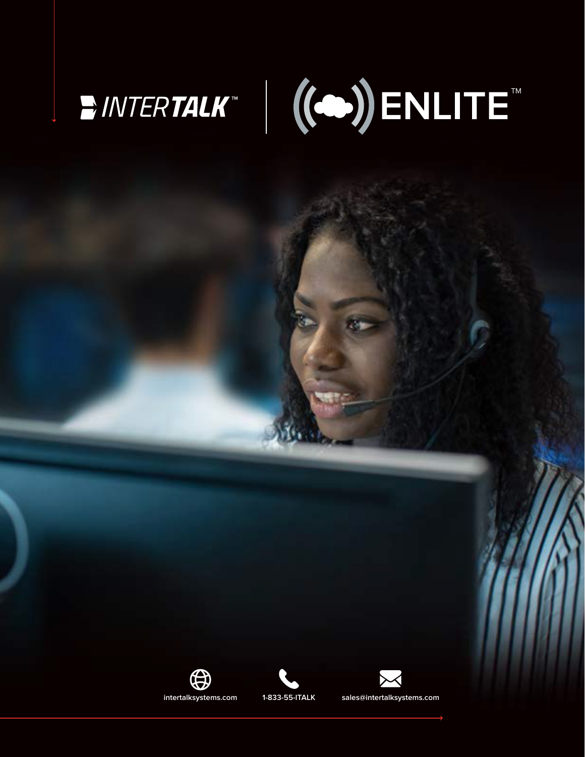# EINTERTALK (O)ENLITE





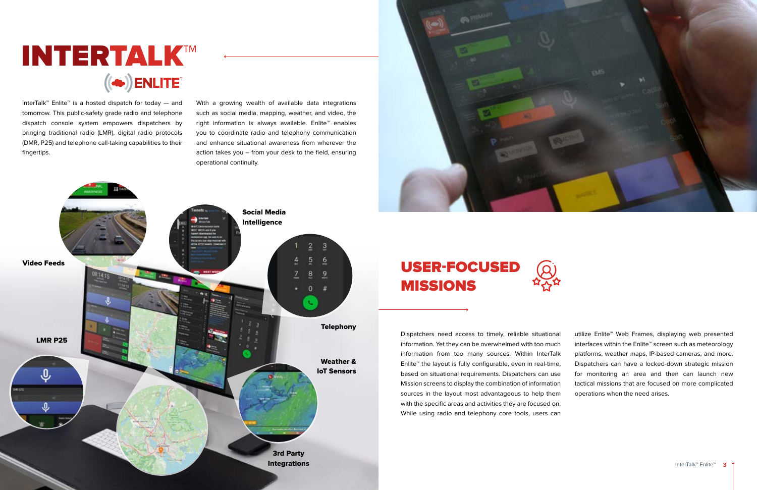InterTalk™ Enlite™ is a hosted dispatch for today — and tomorrow. This public-safety grade radio and telephone dispatch console system empowers dispatchers by bringing traditional radio (LMR), digital radio protocols (DMR, P25) and telephone call-taking capabilities to their fingertips.

With a growing wealth of available data integrations such as social media, mapping, weather, and video, the right information is always available. Enlite™ enables you to coordinate radio and telephony communication and enhance situational awareness from wherever the action takes you – from your desk to the field, ensuring operational continuity.







## USER-FOCUSED MISSIONS

Dispatchers need access to timely, reliable situational information. Yet they can be overwhelmed with too much information from too many sources. Within InterTalk Enlite™ the layout is fully configurable, even in real-time, based on situational requirements. Dispatchers can use Mission screens to display the combination of information sources in the layout most advantageous to help them with the specific areas and activities they are focused on. While using radio and telephony core tools, users can utilize Enlite™ Web Frames, displaying web presented interfaces within the Enlite™ screen such as meteorology platforms, weather maps, IP-based cameras, and more. Dispatchers can have a locked-down strategic mission for monitoring an area and then can launch new tactical missions that are focused on more complicated operations when the need arises.

- 
-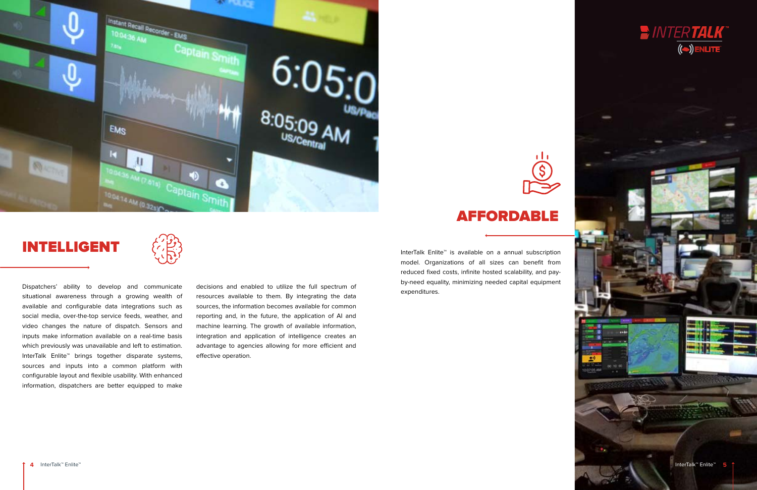AFFORDABLE

a La

InterTalk Enlite™ is available on a annual subscription model. Organizations of all sizes can benefit from reduced fixed costs, infinite hosted scalability, and payby-need equality, minimizing needed capital equipment expenditures.



### INTELLIGENT



Dispatchers' ability to develop and communicate situational awareness through a growing wealth of available and configurable data integrations such as social media, over-the-top service feeds, weather, and video changes the nature of dispatch. Sensors and inputs make information available on a real-time basis which previously was unavailable and left to estimation. InterTalk Enlite™ brings together disparate systems, sources and inputs into a common platform with configurable layout and flexible usability. With enhanced information, dispatchers are better equipped to make



decisions and enabled to utilize the full spectrum of resources available to them. By integrating the data sources, the information becomes available for common reporting and, in the future, the application of AI and machine learning. The growth of available information, integration and application of intelligence creates an advantage to agencies allowing for more efficient and effective operation.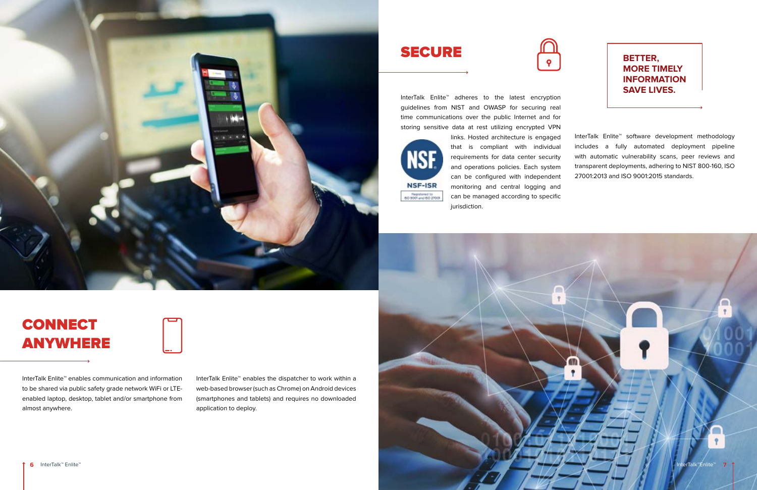

### **SECURE**





InterTalk Enlite™ adheres to the latest encryption guidelines from NIST and OWASP for securing real time communications over the public Internet and for storing sensitive data at rest utilizing encrypted VPN



links. Hosted architecture is engaged that is compliant with individual requirements for data center security and operations policies. Each system can be configured with independent monitoring and central logging and can be managed according to specific jurisdiction.

# **CONNECT** ANYWHERE



### **BETTER, MORE TIMELY INFORMATION SAVE LIVES.**

InterTalk Enlite™ software development methodology includes a fully automated deployment pipeline with automatic vulnerability scans, peer reviews and transparent deployments, adhering to NIST 800-160, ISO 27001:2013 and ISO 9001:2015 standards.



InterTalk Enlite™ enables communication and information to be shared via public safety grade network WiFi or LTEenabled laptop, desktop, tablet and/or smartphone from almost anywhere.

InterTalk Enlite™ enables the dispatcher to work within a web-based browser (such as Chrome) on Android devices (smartphones and tablets) and requires no downloaded application to deploy.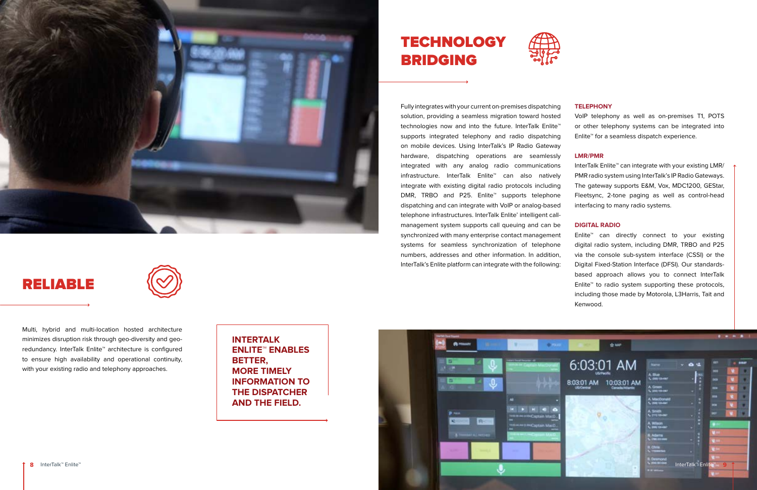





Fully integrates with your current on-premises dispatching solution, providing a seamless migration toward hosted technologies now and into the future. InterTalk Enlite™ supports integrated telephony and radio dispatching on mobile devices. Using InterTalk's IP Radio Gateway hardware, dispatching operations are seamlessly integrated with any analog radio communications infrastructure. InterTalk Enlite™ can also natively integrate with existing digital radio protocols including DMR, TRBO and P25. Enlite<sup>™</sup> supports telephone dispatching and can integrate with VoIP or analog-based telephone infrastructures. InterTalk Enlite' intelligent callmanagement system supports call queuing and can be synchronized with many enterprise contact management systems for seamless synchronization of telephone numbers, addresses and other information. In addition, InterTalk's Enlite platform can integrate with the following: VoIP telephony as well as on-premises T1, POTS or other telephony systems can be integrated into Enlite™ for a seamless dispatch experience. **LMR/PMR** InterTalk Enlite™ can integrate with your existing LMR/ PMR radio system using InterTalk's IP Radio Gateways. The gateway supports E&M, Vox, MDC1200, GEStar, Fleetsync, 2-tone paging as well as control-head interfacing to many radio systems. **DIGITAL RADIO** Enlite™ can directly connect to your existing digital radio system, including DMR, TRBO and P25 via the console sub-system interface (CSSI) or the Digital Fixed-Station Interface (DFSI). Our standards-

### **TELEPHONY**

based approach allows you to connect InterTalk Enlite™ to radio system supporting these protocols, including those made by Motorola, L3Harris, Tait and Kenwood.









**INTERTALK ENLITE™ ENABLES BETTER, MORE TIMELY INFORMATION TO THE DISPATCHER AND THE FIELD.**

Multi, hybrid and multi-location hosted architecture minimizes disruption risk through geo-diversity and georedundancy. InterTalk Enlite™ architecture is configured to ensure high availability and operational continuity, with your existing radio and telephony approaches.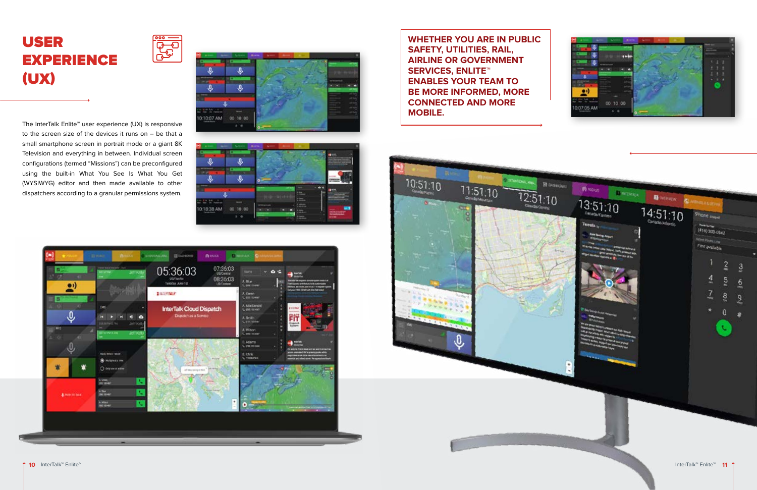# USER EXPERIENCE (UX)



The InterTalk Enlite™ user experience (UX) is responsive to the screen size of the devices it runs on – be that a small smartphone screen in portrait mode or a giant 8K Television and everything in between. Individual screen configurations (termed "Missions") can be preconfigured using the built-in What You See Is What You Get (WYSIWYG) editor and then made available to other dispatchers according to a granular permissions system.





**WHETHER YOU ARE IN PUBLIC SAFETY, UTILITIES, RAIL, AIRLINE OR GOVERNMENT SERVICES, ENLITE™ ENABLES YOUR TEAM TO BE MORE INFORMED, MORE CONNECTED AND MORE MOBILE.**





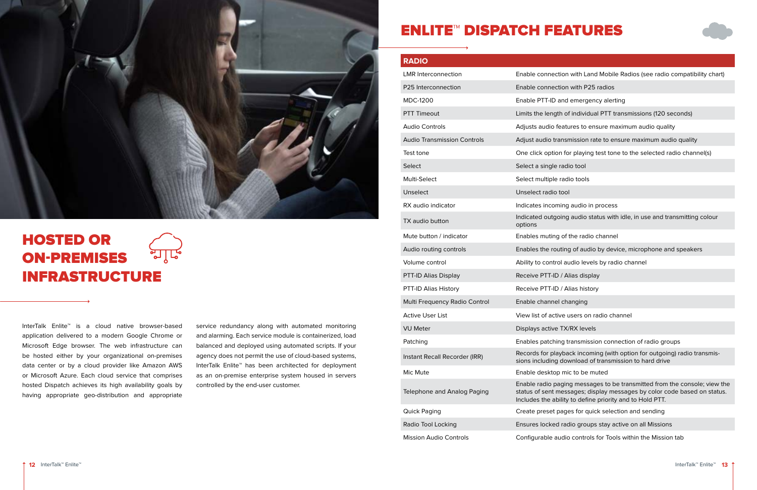# ENLITE™ DISPATCH FEATURES



# HOSTED OR ON-PREMISES INFRASTRUCTURE

InterTalk Enlite™ is a cloud native browser-based application delivered to a modern Google Chrome or Microsoft Edge browser. The web infrastructure can be hosted either by your organizational on-premises data center or by a cloud provider like Amazon AWS or Microsoft Azure. Each cloud service that comprises hosted Dispatch achieves its high availability goals by having appropriate geo-distribution and appropriate

| <b>RADIO</b>                       |                                                                   |
|------------------------------------|-------------------------------------------------------------------|
| <b>LMR</b> Interconnection         | Enable connection                                                 |
| P25 Interconnection                | Enable connection                                                 |
| <b>MDC-1200</b>                    | Enable PTT-ID and                                                 |
| <b>PTT Timeout</b>                 | Limits the length of                                              |
| <b>Audio Controls</b>              | Adjusts audio featu                                               |
| <b>Audio Transmission Controls</b> | Adjust audio transr                                               |
| Test tone                          | One click option fo                                               |
| Select                             | Select a single radi                                              |
| Multi-Select                       | Select multiple radi                                              |
| Unselect                           | Unselect radio tool                                               |
| RX audio indicator                 | Indicates incoming                                                |
| TX audio button                    | Indicated outgoing<br>options                                     |
| Mute button / indicator            | Enables muting of t                                               |
| Audio routing controls             | Enables the routing                                               |
| Volume control                     | Ability to control au                                             |
| PTT-ID Alias Display               | Receive PTT-ID / Al                                               |
| PTT-ID Alias History               | Receive PTT-ID / Al                                               |
| Multi Frequency Radio Control      | Enable channel cha                                                |
| <b>Active User List</b>            | View list of active u                                             |
| <b>VU Meter</b>                    | Displays active TX/                                               |
| Patching                           | Enables patching ti                                               |
| Instant Recall Recorder (IRR)      | Records for playba<br>sions including dov                         |
| Mic Mute                           | Enable desktop mi                                                 |
| <b>Telephone and Analog Paging</b> | Enable radio pagin<br>status of sent mess<br>Includes the ability |
| <b>Quick Paging</b>                | Create preset page                                                |
| Radio Tool Locking                 | Ensures locked rad                                                |
| <b>Mission Audio Controls</b>      | Configurable audio                                                |



- ection with Land Mobile Radios (see radio compatibility chart)
- ction with P25 radios
- D and emergency alerting
- gth of individual PTT transmissions (120 seconds)
- features to ensure maximum audio quality
- ransmission rate to ensure maximum audio quality
- ion for playing test tone to the selected radio channel(s)
- e radio tool
- le radio tools
- 
- ming audio in process
- going audio status with idle, in use and transmitting colour
- ng of the radio channel
- outing of audio by device, microphone and speakers
- trol audio levels by radio channel
- D / Alias display
- ID / Alias history
- el changing
- tive users on radio channel
- e TX/RX levels
- hing transmission connection of radio groups
- Iayback incoming (with option for outgoing) radio transmisg download of transmission to hard drive
- op mic to be muted
- paging messages to be transmitted from the console; view the messages; display messages by color code based on status. ability to define priority and to Hold PTT.
- pages for quick selection and sending
- d radio groups stay active on all Missions
- audio controls for Tools within the Mission tab

service redundancy along with automated monitoring and alarming. Each service module is containerized, load balanced and deployed using automated scripts. If your agency does not permit the use of cloud-based systems, InterTalk Enlite™ has been architected for deployment as an on-premise enterprise system housed in servers controlled by the end-user customer.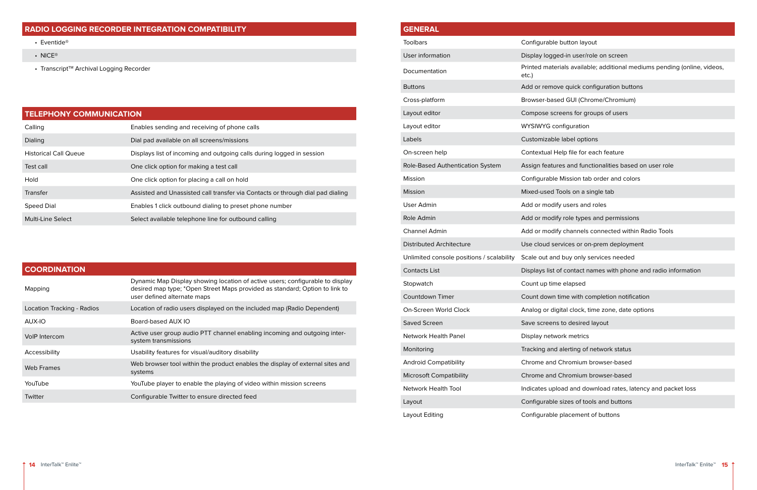### **TELEPHONY COMMUNICATION**

- NICE®
- Transcript<sup>™</sup> Archival Logging Recorder

| Calling                      | Enables sending and receiving of phone calls                                   |
|------------------------------|--------------------------------------------------------------------------------|
| Dialing                      | Dial pad available on all screens/missions                                     |
| <b>Historical Call Queue</b> | Displays list of incoming and outgoing calls during logged in session          |
| Test call                    | One click option for making a test call                                        |
| Hold                         | One click option for placing a call on hold                                    |
| Transfer                     | Assisted and Unassisted call transfer via Contacts or through dial pad dialing |
| Speed Dial                   | Enables 1 click outbound dialing to preset phone number                        |
| Multi-Line Select            | Select available telephone line for outbound calling                           |

### **RADIO LOGGING RECORDER INTEGRATION COMPATIBILITY**

### • Eventide<sup>®</sup>

### **COORDINATION**

| Mapping                    | Dynamic Map Display showing location of active users; configurable to display<br>desired map type; *Open Street Maps provided as standard; Option to link to<br>user defined alternate maps |
|----------------------------|---------------------------------------------------------------------------------------------------------------------------------------------------------------------------------------------|
| Location Tracking - Radios | Location of radio users displayed on the included map (Radio Dependent)                                                                                                                     |
| AUX-IO                     | Board-based AUX IO                                                                                                                                                                          |
| VoIP Intercom              | Active user group audio PTT channel enabling incoming and outgoing inter-<br>system transmissions                                                                                           |
| Accessibility              | Usability features for visual/auditory disability                                                                                                                                           |
| Web Frames                 | Web browser tool within the product enables the display of external sites and<br>systems                                                                                                    |
| YouTube                    | YouTube player to enable the playing of video within mission screens                                                                                                                        |
| Twitter                    | Configurable Twitter to ensure directed feed                                                                                                                                                |

# **GENERAL** Toolbars **The Configurable button layout** User information **Display logged-in user/role on screen** Documentation **Printed materials available; additional mediums pending (online, videos,** etc.)

| <b>Buttons</b>                            | Add or remov      |
|-------------------------------------------|-------------------|
| Cross-platform                            | Browser-base      |
| Layout editor                             | Compose scr       |
| Layout editor                             | <b>WYSIWYG co</b> |
| Labels                                    | Customizable      |
| On-screen help                            | Contextual H      |
| Role-Based Authentication System          | Assign featur     |
| Mission                                   | Configurable      |
| <b>Mission</b>                            | Mixed-used T      |
| User Admin                                | Add or modif      |
| <b>Role Admin</b>                         | Add or modif      |
| <b>Channel Admin</b>                      | Add or modif      |
| <b>Distributed Architecture</b>           | Use cloud se      |
| Unlimited console positions / scalability | Scale out and     |
| <b>Contacts List</b>                      | Displays list o   |
| Stopwatch                                 | Count up time     |
| Countdown Timer                           | Count down t      |
| On-Screen World Clock                     | Analog or dig     |
| <b>Saved Screen</b>                       | Save screens      |
| <b>Network Health Panel</b>               | Display netwo     |
| Monitoring                                | Tracking and      |
| <b>Android Compatibility</b>              | Chrome and        |
| <b>Microsoft Compatibility</b>            | Chrome and        |
| Network Health Tool                       | Indicates uplo    |
| Layout                                    | Configurable      |
| Layout Editing                            | Configurable      |

- 
- 
- 
- ve quick configuration buttons
- ed GUI (Chrome/Chromium)
- reens for groups of users
- onfiguration
- e label options
- Ielp file for each feature
- res and functionalities based on user role
- Mission tab order and colors
- Tools on a single tab
- fy users and roles
- y role types and permissions
- fy channels connected within Radio Tools
- ervices or on-prem deployment
- d buy only services needed
- of contact names with phone and radio information
- ie elapsed
- time with completion notification
- gital clock, time zone, date options
- s to desired layout
- ork metrics
- alerting of network status
- Chromium browser-based
- Chromium browser-based
- load and download rates, latency and packet loss
- sizes of tools and buttons
- placement of buttons